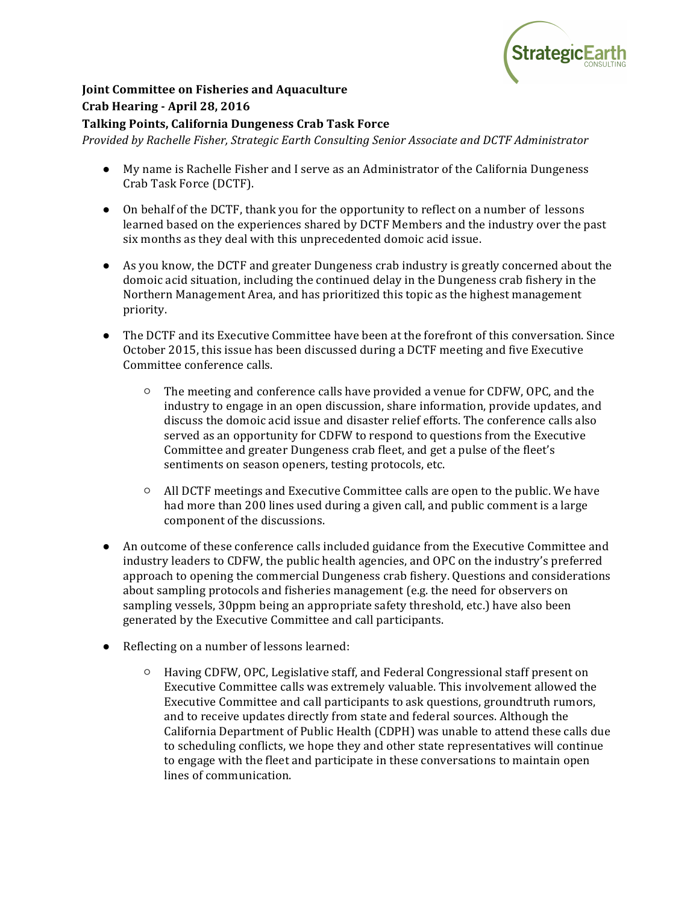

## **Joint Committee on Fisheries and Aquaculture Crab Hearing - April 28, 2016**

## **Talking Points, California Dungeness Crab Task Force**

*Provided by Rachelle Fisher, Strategic Earth Consulting Senior Associate and DCTF Administrator*

- My name is Rachelle Fisher and I serve as an Administrator of the California Dungeness Crab Task Force (DCTF).
- On behalf of the DCTF, thank you for the opportunity to reflect on a number of lessons learned based on the experiences shared by DCTF Members and the industry over the past six months as they deal with this unprecedented domoic acid issue.
- As you know, the DCTF and greater Dungeness crab industry is greatly concerned about the domoic acid situation, including the continued delay in the Dungeness crab fishery in the Northern Management Area, and has prioritized this topic as the highest management priority.
- The DCTF and its Executive Committee have been at the forefront of this conversation. Since October 2015, this issue has been discussed during a DCTF meeting and five Executive Committee conference calls.
	- $\circ$  The meeting and conference calls have provided a venue for CDFW, OPC, and the industry to engage in an open discussion, share information, provide updates, and discuss the domoic acid issue and disaster relief efforts. The conference calls also served as an opportunity for CDFW to respond to questions from the Executive Committee and greater Dungeness crab fleet, and get a pulse of the fleet's sentiments on season openers, testing protocols, etc.
	- $\circ$  All DCTF meetings and Executive Committee calls are open to the public. We have had more than 200 lines used during a given call, and public comment is a large component of the discussions.
- An outcome of these conference calls included guidance from the Executive Committee and industry leaders to CDFW, the public health agencies, and OPC on the industry's preferred approach to opening the commercial Dungeness crab fishery. Questions and considerations about sampling protocols and fisheries management  $(e.g.$  the need for observers on sampling vessels, 30ppm being an appropriate safety threshold, etc.) have also been generated by the Executive Committee and call participants.
- Reflecting on a number of lessons learned:
	- $\circ$  Having CDFW, OPC, Legislative staff, and Federal Congressional staff present on Executive Committee calls was extremely valuable. This involvement allowed the Executive Committee and call participants to ask questions, groundtruth rumors, and to receive updates directly from state and federal sources. Although the California Department of Public Health (CDPH) was unable to attend these calls due to scheduling conflicts, we hope they and other state representatives will continue to engage with the fleet and participate in these conversations to maintain open lines of communication.